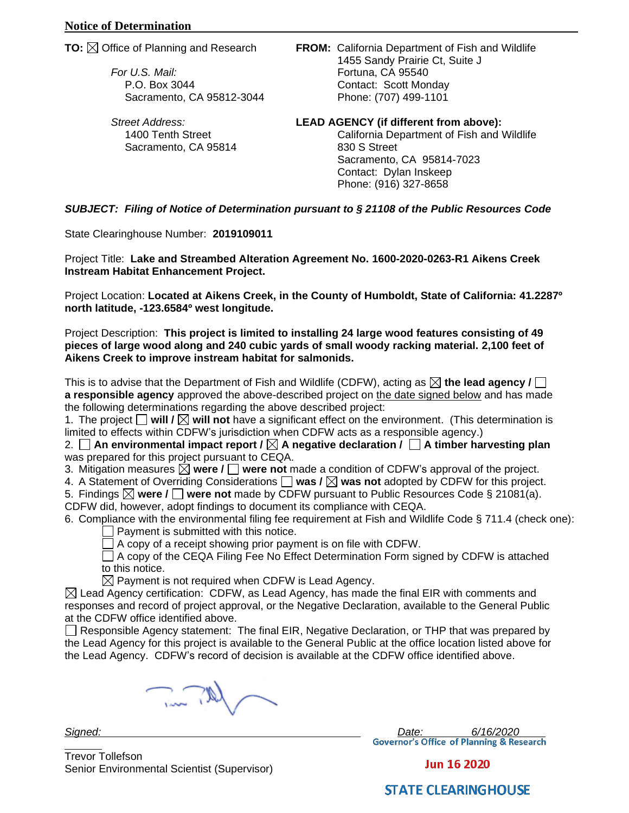*For U.S. Mail:* Fortuna, CA 95540

Sacramento, CA 95814 830 S Street

**TO:** Office of Planning and Research **FROM:** California Department of Fish and Wildlife 1455 Sandy Prairie Ct, Suite J P.O. Box 3044 Contact: Scott Monday Sacramento, CA 95812-3044 Phone: (707) 499-1101

*Street Address:* **LEAD AGENCY (if different from above):**  1400 Tenth Street California Department of Fish and Wildlife

Sacramento, CA 95814-7023 Contact: Dylan Inskeep Phone: (916) 327-8658

*SUBJECT: Filing of Notice of Determination pursuant to § 21108 of the Public Resources Code*

State Clearinghouse Number: **2019109011**

Project Title: **Lake and Streambed Alteration Agreement No. 1600-2020-0263-R1 Aikens Creek Instream Habitat Enhancement Project.**

Project Location: **Located at Aikens Creek, in the County of Humboldt, State of California: 41.2287º north latitude, -123.6584º west longitude.**

Project Description: **This project is limited to installing 24 large wood features consisting of 49 pieces of large wood along and 240 cubic yards of small woody racking material. 2,100 feet of Aikens Creek to improve instream habitat for salmonids.**

This is to advise that the Department of Fish and Wildlife (CDFW), acting as  $\boxtimes$  the lead agency  $\textit{l} \square$ **a responsible agency** approved the above-described project on the date signed below and has made the following determinations regarding the above described project:

1. The project  $\Box$  will  $\Box$  will not have a significant effect on the environment. (This determination is limited to effects within CDFW's jurisdiction when CDFW acts as a responsible agency.)

2. □ An environmental impact report / ⊠ A negative declaration / □ A timber harvesting plan was prepared for this project pursuant to CEQA.

3. Mitigation measures  $\boxtimes$  were  $\prime$   $\square$  were not made a condition of CDFW's approval of the project.

4. A Statement of Overriding Considerations  $\Box$  was /  $\boxtimes$  was not adopted by CDFW for this project.

5. Findings **were / were not** made by CDFW pursuant to Public Resources Code § 21081(a). CDFW did, however, adopt findings to document its compliance with CEQA.

6. Compliance with the environmental filing fee requirement at Fish and Wildlife Code § 711.4 (check one): Payment is submitted with this notice.

 $\Box$  A copy of a receipt showing prior payment is on file with CDFW.

 $\Box$  A copy of the CEQA Filing Fee No Effect Determination Form signed by CDFW is attached to this notice.

 $\boxtimes$  Payment is not required when CDFW is Lead Agency.

 $\boxtimes$  Lead Agency certification: CDFW, as Lead Agency, has made the final EIR with comments and responses and record of project approval, or the Negative Declaration, available to the General Public at the CDFW office identified above.

 $\Box$  Responsible Agency statement: The final EIR, Negative Declaration, or THP that was prepared by the Lead Agency for this project is available to the General Public at the office location listed above for the Lead Agency. CDFW's record of decision is available at the CDFW office identified above.

 $\sqrt{N}$ 

*Signed: Date: 6/16/2020*

Trevor Tollefson Senior Environmental Scientist (Supervisor)

**Jun 16 2020** 

**STATE CLEARINGHOUSE**